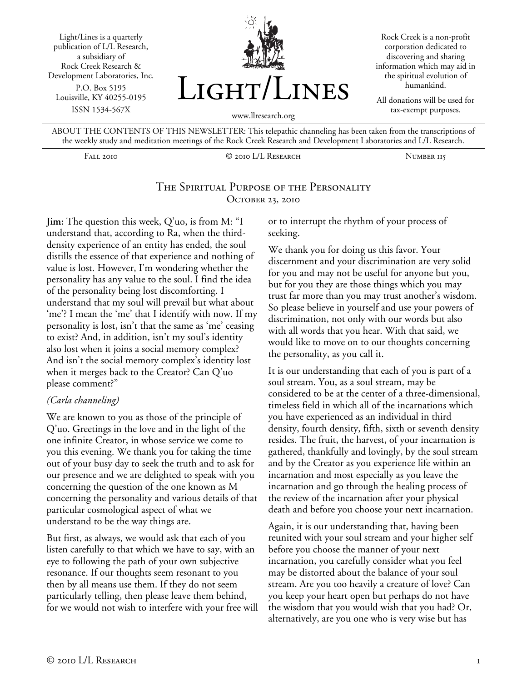Light/Lines is a quarterly publication of L/L Research, a subsidiary of Rock Creek Research & Development Laboratories, Inc. P.O. Box 5195 Louisville, KY 40255-0195 ISSN 1534-567X



Rock Creek is a non-profit corporation dedicated to discovering and sharing information which may aid in the spiritual evolution of humankind.

All donations will be used for tax-exempt purposes.

ABOUT THE CONTENTS OF THIS NEWSLETTER: This telepathic channeling has been taken from the transcriptions of the weekly study and meditation meetings of the Rock Creek Research and Development Laboratories and L/L Research.

Fall 2010 © 2010 L/L Research Number 115

### The Spiritual Purpose of the Personality OCTOBER 23, 2010

**Jim:** The question this week, Q'uo, is from M: "I understand that, according to Ra, when the thirddensity experience of an entity has ended, the soul distills the essence of that experience and nothing of value is lost. However, I'm wondering whether the personality has any value to the soul. I find the idea of the personality being lost discomforting. I understand that my soul will prevail but what about 'me'? I mean the 'me' that I identify with now. If my personality is lost, isn't that the same as 'me' ceasing to exist? And, in addition, isn't my soul's identity also lost when it joins a social memory complex? And isn't the social memory complex's identity lost when it merges back to the Creator? Can Q'uo please comment?"

#### *(Carla channeling)*

We are known to you as those of the principle of Q'uo. Greetings in the love and in the light of the one infinite Creator, in whose service we come to you this evening. We thank you for taking the time out of your busy day to seek the truth and to ask for our presence and we are delighted to speak with you concerning the question of the one known as M concerning the personality and various details of that particular cosmological aspect of what we understand to be the way things are.

But first, as always, we would ask that each of you listen carefully to that which we have to say, with an eye to following the path of your own subjective resonance. If our thoughts seem resonant to you then by all means use them. If they do not seem particularly telling, then please leave them behind, for we would not wish to interfere with your free will or to interrupt the rhythm of your process of seeking.

We thank you for doing us this favor. Your discernment and your discrimination are very solid for you and may not be useful for anyone but you, but for you they are those things which you may trust far more than you may trust another's wisdom. So please believe in yourself and use your powers of discrimination, not only with our words but also with all words that you hear. With that said, we would like to move on to our thoughts concerning the personality, as you call it.

It is our understanding that each of you is part of a soul stream. You, as a soul stream, may be considered to be at the center of a three-dimensional, timeless field in which all of the incarnations which you have experienced as an individual in third density, fourth density, fifth, sixth or seventh density resides. The fruit, the harvest, of your incarnation is gathered, thankfully and lovingly, by the soul stream and by the Creator as you experience life within an incarnation and most especially as you leave the incarnation and go through the healing process of the review of the incarnation after your physical death and before you choose your next incarnation.

Again, it is our understanding that, having been reunited with your soul stream and your higher self before you choose the manner of your next incarnation, you carefully consider what you feel may be distorted about the balance of your soul stream. Are you too heavily a creature of love? Can you keep your heart open but perhaps do not have the wisdom that you would wish that you had? Or, alternatively, are you one who is very wise but has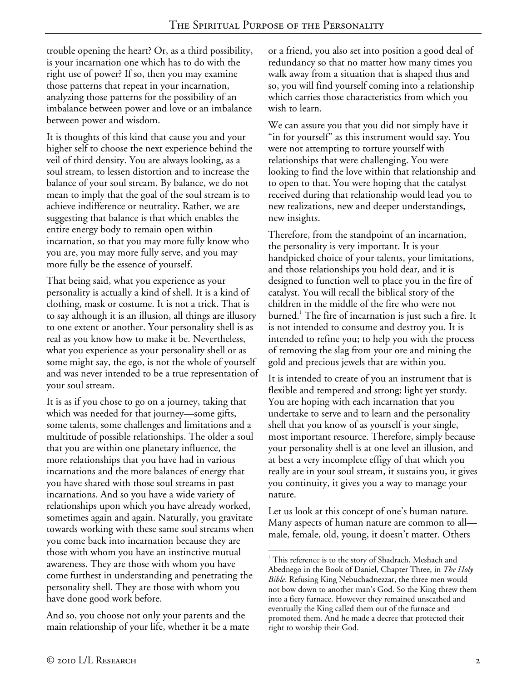trouble opening the heart? Or, as a third possibility, is your incarnation one which has to do with the right use of power? If so, then you may examine those patterns that repeat in your incarnation, analyzing those patterns for the possibility of an imbalance between power and love or an imbalance between power and wisdom.

It is thoughts of this kind that cause you and your higher self to choose the next experience behind the veil of third density. You are always looking, as a soul stream, to lessen distortion and to increase the balance of your soul stream. By balance, we do not mean to imply that the goal of the soul stream is to achieve indifference or neutrality. Rather, we are suggesting that balance is that which enables the entire energy body to remain open within incarnation, so that you may more fully know who you are, you may more fully serve, and you may more fully be the essence of yourself.

That being said, what you experience as your personality is actually a kind of shell. It is a kind of clothing, mask or costume. It is not a trick. That is to say although it is an illusion, all things are illusory to one extent or another. Your personality shell is as real as you know how to make it be. Nevertheless, what you experience as your personality shell or as some might say, the ego, is not the whole of yourself and was never intended to be a true representation of your soul stream.

It is as if you chose to go on a journey, taking that which was needed for that journey—some gifts, some talents, some challenges and limitations and a multitude of possible relationships. The older a soul that you are within one planetary influence, the more relationships that you have had in various incarnations and the more balances of energy that you have shared with those soul streams in past incarnations. And so you have a wide variety of relationships upon which you have already worked, sometimes again and again. Naturally, you gravitate towards working with these same soul streams when you come back into incarnation because they are those with whom you have an instinctive mutual awareness. They are those with whom you have come furthest in understanding and penetrating the personality shell. They are those with whom you have done good work before.

And so, you choose not only your parents and the main relationship of your life, whether it be a mate or a friend, you also set into position a good deal of redundancy so that no matter how many times you walk away from a situation that is shaped thus and so, you will find yourself coming into a relationship which carries those characteristics from which you wish to learn.

We can assure you that you did not simply have it "in for yourself" as this instrument would say. You were not attempting to torture yourself with relationships that were challenging. You were looking to find the love within that relationship and to open to that. You were hoping that the catalyst received during that relationship would lead you to new realizations, new and deeper understandings, new insights.

Therefore, from the standpoint of an incarnation, the personality is very important. It is your handpicked choice of your talents, your limitations, and those relationships you hold dear, and it is designed to function well to place you in the fire of catalyst. You will recall the biblical story of the children in the middle of the fire who were not burned.<sup>1</sup> The fire of incarnation is just such a fire. It is not intended to consume and destroy you. It is intended to refine you; to help you with the process of removing the slag from your ore and mining the gold and precious jewels that are within you.

It is intended to create of you an instrument that is flexible and tempered and strong; light yet sturdy. You are hoping with each incarnation that you undertake to serve and to learn and the personality shell that you know of as yourself is your single, most important resource. Therefore, simply because your personality shell is at one level an illusion, and at best a very incomplete effigy of that which you really are in your soul stream, it sustains you, it gives you continuity, it gives you a way to manage your nature.

Let us look at this concept of one's human nature. Many aspects of human nature are common to all male, female, old, young, it doesn't matter. Others

 $\overline{a}$ <sup>1</sup> This reference is to the story of Shadrach, Meshach and Abednego in the Book of Daniel, Chapter Three, in *The Holy Bible*. Refusing King Nebuchadnezzar, the three men would not bow down to another man's God. So the King threw them into a fiery furnace. However they remained unscathed and eventually the King called them out of the furnace and promoted them. And he made a decree that protected their right to worship their God.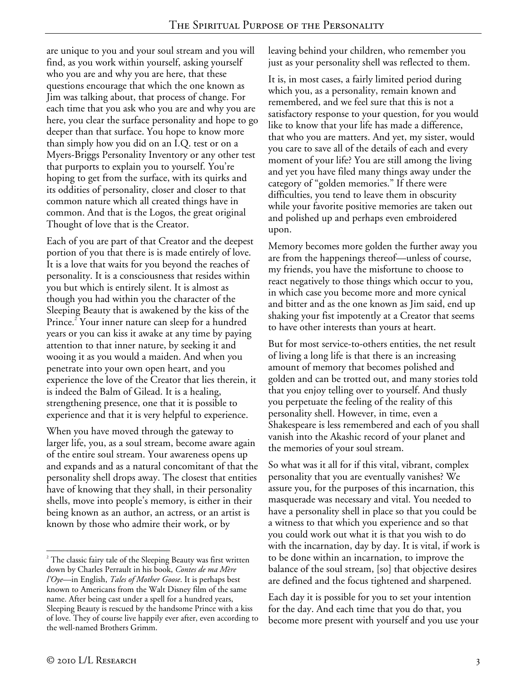are unique to you and your soul stream and you will find, as you work within yourself, asking yourself who you are and why you are here, that these questions encourage that which the one known as Jim was talking about, that process of change. For each time that you ask who you are and why you are here, you clear the surface personality and hope to go deeper than that surface. You hope to know more than simply how you did on an I.Q. test or on a Myers-Briggs Personality Inventory or any other test that purports to explain you to yourself. You're hoping to get from the surface, with its quirks and its oddities of personality, closer and closer to that common nature which all created things have in common. And that is the Logos, the great original Thought of love that is the Creator.

Each of you are part of that Creator and the deepest portion of you that there is is made entirely of love. It is a love that waits for you beyond the reaches of personality. It is a consciousness that resides within you but which is entirely silent. It is almost as though you had within you the character of the Sleeping Beauty that is awakened by the kiss of the Prince.<sup>2</sup> Your inner nature can sleep for a hundred years or you can kiss it awake at any time by paying attention to that inner nature, by seeking it and wooing it as you would a maiden. And when you penetrate into your own open heart, and you experience the love of the Creator that lies therein, it is indeed the Balm of Gilead. It is a healing, strengthening presence, one that it is possible to experience and that it is very helpful to experience.

When you have moved through the gateway to larger life, you, as a soul stream, become aware again of the entire soul stream. Your awareness opens up and expands and as a natural concomitant of that the personality shell drops away. The closest that entities have of knowing that they shall, in their personality shells, move into people's memory, is either in their being known as an author, an actress, or an artist is known by those who admire their work, or by

leaving behind your children, who remember you just as your personality shell was reflected to them.

It is, in most cases, a fairly limited period during which you, as a personality, remain known and remembered, and we feel sure that this is not a satisfactory response to your question, for you would like to know that your life has made a difference, that who you are matters. And yet, my sister, would you care to save all of the details of each and every moment of your life? You are still among the living and yet you have filed many things away under the category of "golden memories." If there were difficulties, you tend to leave them in obscurity while your favorite positive memories are taken out and polished up and perhaps even embroidered upon.

Memory becomes more golden the further away you are from the happenings thereof—unless of course, my friends, you have the misfortune to choose to react negatively to those things which occur to you, in which case you become more and more cynical and bitter and as the one known as Jim said, end up shaking your fist impotently at a Creator that seems to have other interests than yours at heart.

But for most service-to-others entities, the net result of living a long life is that there is an increasing amount of memory that becomes polished and golden and can be trotted out, and many stories told that you enjoy telling over to yourself. And thusly you perpetuate the feeling of the reality of this personality shell. However, in time, even a Shakespeare is less remembered and each of you shall vanish into the Akashic record of your planet and the memories of your soul stream.

So what was it all for if this vital, vibrant, complex personality that you are eventually vanishes? We assure you, for the purposes of this incarnation, this masquerade was necessary and vital. You needed to have a personality shell in place so that you could be a witness to that which you experience and so that you could work out what it is that you wish to do with the incarnation, day by day. It is vital, if work is to be done within an incarnation, to improve the balance of the soul stream, [so] that objective desires are defined and the focus tightened and sharpened.

Each day it is possible for you to set your intention for the day. And each time that you do that, you become more present with yourself and you use your

<sup>&</sup>lt;u>.</u>  $2^{2}$  The classic fairy tale of the Sleeping Beauty was first written down by Charles Perrault in his book, *Contes de ma Mère l'Oye*—in English, *Tales of Mother Goose*. It is perhaps best known to Americans from the Walt Disney film of the same name. After being cast under a spell for a hundred years, Sleeping Beauty is rescued by the handsome Prince with a kiss of love. They of course live happily ever after, even according to the well-named Brothers Grimm.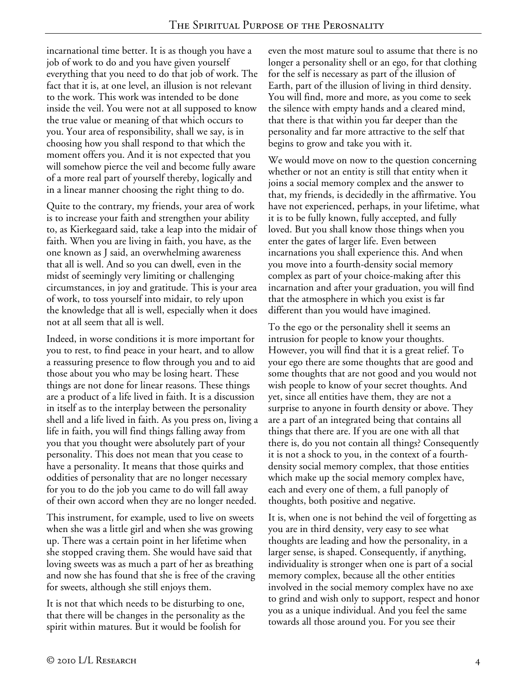incarnational time better. It is as though you have a job of work to do and you have given yourself everything that you need to do that job of work. The fact that it is, at one level, an illusion is not relevant to the work. This work was intended to be done inside the veil. You were not at all supposed to know the true value or meaning of that which occurs to you. Your area of responsibility, shall we say, is in choosing how you shall respond to that which the moment offers you. And it is not expected that you will somehow pierce the veil and become fully aware of a more real part of yourself thereby, logically and in a linear manner choosing the right thing to do.

Quite to the contrary, my friends, your area of work is to increase your faith and strengthen your ability to, as Kierkegaard said, take a leap into the midair of faith. When you are living in faith, you have, as the one known as J said, an overwhelming awareness that all is well. And so you can dwell, even in the midst of seemingly very limiting or challenging circumstances, in joy and gratitude. This is your area of work, to toss yourself into midair, to rely upon the knowledge that all is well, especially when it does not at all seem that all is well.

Indeed, in worse conditions it is more important for you to rest, to find peace in your heart, and to allow a reassuring presence to flow through you and to aid those about you who may be losing heart. These things are not done for linear reasons. These things are a product of a life lived in faith. It is a discussion in itself as to the interplay between the personality shell and a life lived in faith. As you press on, living a life in faith, you will find things falling away from you that you thought were absolutely part of your personality. This does not mean that you cease to have a personality. It means that those quirks and oddities of personality that are no longer necessary for you to do the job you came to do will fall away of their own accord when they are no longer needed.

This instrument, for example, used to live on sweets when she was a little girl and when she was growing up. There was a certain point in her lifetime when she stopped craving them. She would have said that loving sweets was as much a part of her as breathing and now she has found that she is free of the craving for sweets, although she still enjoys them.

It is not that which needs to be disturbing to one, that there will be changes in the personality as the spirit within matures. But it would be foolish for

even the most mature soul to assume that there is no longer a personality shell or an ego, for that clothing for the self is necessary as part of the illusion of Earth, part of the illusion of living in third density. You will find, more and more, as you come to seek the silence with empty hands and a cleared mind, that there is that within you far deeper than the personality and far more attractive to the self that begins to grow and take you with it.

We would move on now to the question concerning whether or not an entity is still that entity when it joins a social memory complex and the answer to that, my friends, is decidedly in the affirmative. You have not experienced, perhaps, in your lifetime, what it is to be fully known, fully accepted, and fully loved. But you shall know those things when you enter the gates of larger life. Even between incarnations you shall experience this. And when you move into a fourth-density social memory complex as part of your choice-making after this incarnation and after your graduation, you will find that the atmosphere in which you exist is far different than you would have imagined.

To the ego or the personality shell it seems an intrusion for people to know your thoughts. However, you will find that it is a great relief. To your ego there are some thoughts that are good and some thoughts that are not good and you would not wish people to know of your secret thoughts. And yet, since all entities have them, they are not a surprise to anyone in fourth density or above. They are a part of an integrated being that contains all things that there are. If you are one with all that there is, do you not contain all things? Consequently it is not a shock to you, in the context of a fourthdensity social memory complex, that those entities which make up the social memory complex have, each and every one of them, a full panoply of thoughts, both positive and negative.

It is, when one is not behind the veil of forgetting as you are in third density, very easy to see what thoughts are leading and how the personality, in a larger sense, is shaped. Consequently, if anything, individuality is stronger when one is part of a social memory complex, because all the other entities involved in the social memory complex have no axe to grind and wish only to support, respect and honor you as a unique individual. And you feel the same towards all those around you. For you see their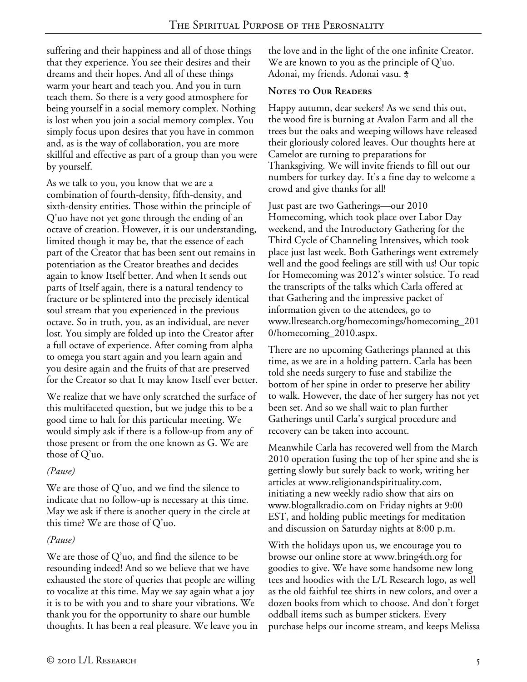suffering and their happiness and all of those things that they experience. You see their desires and their dreams and their hopes. And all of these things warm your heart and teach you. And you in turn teach them. So there is a very good atmosphere for being yourself in a social memory complex. Nothing is lost when you join a social memory complex. You simply focus upon desires that you have in common and, as is the way of collaboration, you are more skillful and effective as part of a group than you were by yourself.

As we talk to you, you know that we are a combination of fourth-density, fifth-density, and sixth-density entities. Those within the principle of Q'uo have not yet gone through the ending of an octave of creation. However, it is our understanding, limited though it may be, that the essence of each part of the Creator that has been sent out remains in potentiation as the Creator breathes and decides again to know Itself better. And when It sends out parts of Itself again, there is a natural tendency to fracture or be splintered into the precisely identical soul stream that you experienced in the previous octave. So in truth, you, as an individual, are never lost. You simply are folded up into the Creator after a full octave of experience. After coming from alpha to omega you start again and you learn again and you desire again and the fruits of that are preserved for the Creator so that It may know Itself ever better.

We realize that we have only scratched the surface of this multifaceted question, but we judge this to be a good time to halt for this particular meeting. We would simply ask if there is a follow-up from any of those present or from the one known as G. We are those of Q'uo.

## *(Pause)*

We are those of Q'uo, and we find the silence to indicate that no follow-up is necessary at this time. May we ask if there is another query in the circle at this time? We are those of Q'uo.

# *(Pause)*

We are those of Q'uo, and find the silence to be resounding indeed! And so we believe that we have exhausted the store of queries that people are willing to vocalize at this time. May we say again what a joy it is to be with you and to share your vibrations. We thank you for the opportunity to share our humble thoughts. It has been a real pleasure. We leave you in the love and in the light of the one infinite Creator. We are known to you as the principle of Q'uo. Adonai, my friends. Adonai vasu. <del>\$</del>

#### **Notes to Our Readers**

Happy autumn, dear seekers! As we send this out, the wood fire is burning at Avalon Farm and all the trees but the oaks and weeping willows have released their gloriously colored leaves. Our thoughts here at Camelot are turning to preparations for Thanksgiving. We will invite friends to fill out our numbers for turkey day. It's a fine day to welcome a crowd and give thanks for all!

Just past are two Gatherings—our 2010 Homecoming, which took place over Labor Day weekend, and the Introductory Gathering for the Third Cycle of Channeling Intensives, which took place just last week. Both Gatherings went extremely well and the good feelings are still with us! Our topic for Homecoming was 2012's winter solstice. To read the transcripts of the talks which Carla offered at that Gathering and the impressive packet of information given to the attendees, go to www.llresearch.org/homecomings/homecoming\_201 0/homecoming\_2010.aspx.

There are no upcoming Gatherings planned at this time, as we are in a holding pattern. Carla has been told she needs surgery to fuse and stabilize the bottom of her spine in order to preserve her ability to walk. However, the date of her surgery has not yet been set. And so we shall wait to plan further Gatherings until Carla's surgical procedure and recovery can be taken into account.

Meanwhile Carla has recovered well from the March 2010 operation fusing the top of her spine and she is getting slowly but surely back to work, writing her articles at www.religionandspirituality.com, initiating a new weekly radio show that airs on www.blogtalkradio.com on Friday nights at 9:00 EST, and holding public meetings for meditation and discussion on Saturday nights at 8:00 p.m.

With the holidays upon us, we encourage you to browse our online store at www.bring4th.org for goodies to give. We have some handsome new long tees and hoodies with the L/L Research logo, as well as the old faithful tee shirts in new colors, and over a dozen books from which to choose. And don't forget oddball items such as bumper stickers. Every purchase helps our income stream, and keeps Melissa